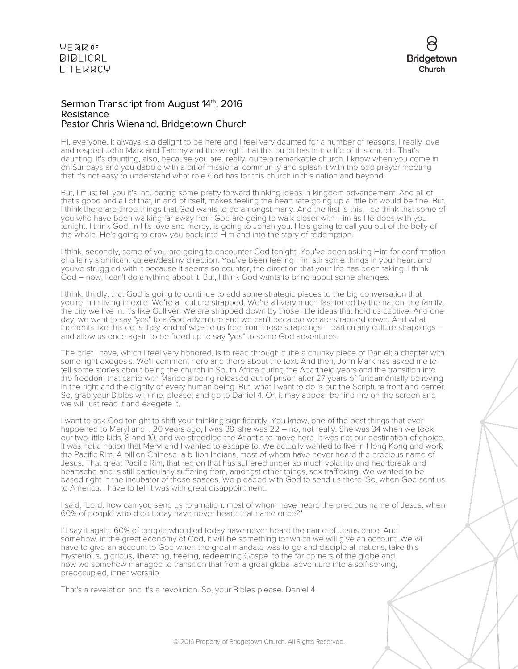

## Sermon Transcript from August 14th, 2016 Resistance Pastor Chris Wienand, Bridgetown Church

Hi, everyone. It always is a delight to be here and I feel very daunted for a number of reasons. I really love and respect John Mark and Tammy and the weight that this pulpit has in the life of this church. That's daunting. It's daunting, also, because you are, really, quite a remarkable church. I know when you come in on Sundays and you dabble with a bit of missional community and splash it with the odd prayer meeting that it's not easy to understand what role God has for this church in this nation and beyond.

But, I must tell you it's incubating some pretty forward thinking ideas in kingdom advancement. And all of that's good and all of that, in and of itself, makes feeling the heart rate going up a little bit would be fine. But, I think there are three things that God wants to do amongst many. And the first is this: I do think that some of you who have been walking far away from God are going to walk closer with Him as He does with you tonight. I think God, in His love and mercy, is going to Jonah you. He's going to call you out of the belly of the whale. He's going to draw you back into Him and into the story of redemption.

I think, secondly, some of you are going to encounter God tonight. You've been asking Him for confirmation of a fairly significant career/destiny direction. You've been feeling Him stir some things in your heart and you've struggled with it because it seems so counter, the direction that your life has been taking. I think God – now, I can't do anything about it. But, I think God wants to bring about some changes.

I think, thirdly, that God is going to continue to add some strategic pieces to the big conversation that you're in in living in exile. We're all culture strapped. We're all very much fashioned by the nation, the family, the city we live in. It's like Gulliver. We are strapped down by those little ideas that hold us captive. And one day, we want to say "yes" to a God adventure and we can't because we are strapped down. And what moments like this do is they kind of wrestle us free from those strappings – particularly culture strappings – and allow us once again to be freed up to say "yes" to some God adventures.

The brief I have, which I feel very honored, is to read through quite a chunky piece of Daniel; a chapter with some light exegesis. We'll comment here and there about the text. And then, John Mark has asked me to tell some stories about being the church in South Africa during the Apartheid years and the transition into the freedom that came with Mandela being released out of prison after 27 years of fundamentally believing in the right and the dignity of every human being. But, what I want to do is put the Scripture front and center. So, grab your Bibles with me, please, and go to Daniel 4. Or, it may appear behind me on the screen and we will just read it and exegete it.

I want to ask God tonight to shift your thinking significantly. You know, one of the best things that ever happened to Meryl and I, 20 years ago, I was 38, she was 22 – no, not really. She was 34 when we took our two little kids, 8 and 10, and we straddled the Atlantic to move here. It was not our destination of choice. It was not a nation that Meryl and I wanted to escape to. We actually wanted to live in Hong Kong and work the Pacific Rim. A billion Chinese, a billion Indians, most of whom have never heard the precious name of Jesus. That great Pacific Rim, that region that has suffered under so much volatility and heartbreak and heartache and is still particularly suffering from, amongst other things, sex trafficking. We wanted to be based right in the incubator of those spaces. We pleaded with God to send us there. So, when God sent us to America, I have to tell it was with great disappointment.

I said, "Lord, how can you send us to a nation, most of whom have heard the precious name of Jesus, when 60% of people who died today have never heard that name once?"

I'll say it again: 60% of people who died today have never heard the name of Jesus once. And somehow, in the great economy of God, it will be something for which we will give an account. We will have to give an account to God when the great mandate was to go and disciple all nations, take this mysterious, glorious, liberating, freeing, redeeming Gospel to the far corners of the globe and how we somehow managed to transition that from a great global adventure into a self-serving, preoccupied, inner worship.

That's a revelation and it's a revolution. So, your Bibles please. Daniel 4.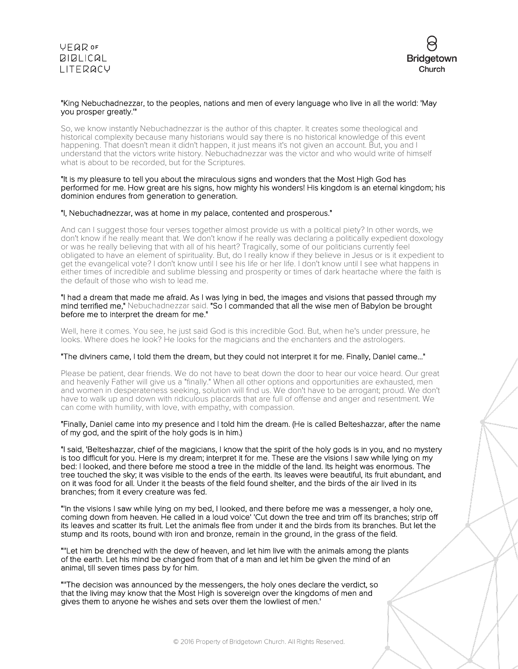

## "King Nebuchadnezzar, to the peoples, nations and men of every language who live in all the world: 'May you prosper greatly.'"

So, we know instantly Nebuchadnezzar is the author of this chapter. It creates some theological and historical complexity because many historians would say there is no historical knowledge of this event happening. That doesn't mean it didn't happen, it just means it's not given an account. But, you and I understand that the victors write history. Nebuchadnezzar was the victor and who would write of himself what is about to be recorded, but for the Scriptures.

#### "It is my pleasure to tell you about the miraculous signs and wonders that the Most High God has performed for me. How great are his signs, how mighty his wonders! His kingdom is an eternal kingdom; his dominion endures from generation to generation.

### "I, Nebuchadnezzar, was at home in my palace, contented and prosperous."

And can I suggest those four verses together almost provide us with a political piety? In other words, we don't know if he really meant that. We don't know if he really was declaring a politically expedient doxology or was he really believing that with all of his heart? Tragically, some of our politicians currently feel obligated to have an element of spirituality. But, do I really know if they believe in Jesus or is it expedient to get the evangelical vote? I don't know until I see his life or her life. I don't know until I see what happens in either times of incredible and sublime blessing and prosperity or times of dark heartache where the faith is the default of those who wish to lead me.

#### "I had a dream that made me afraid. As I was lying in bed, the images and visions that passed through my mind terrified me," Nebuchadnezzar said. "So I commanded that all the wise men of Babylon be brought before me to interpret the dream for me."

Well, here it comes. You see, he just said God is this incredible God. But, when he's under pressure, he looks. Where does he look? He looks for the magicians and the enchanters and the astrologers.

## "The diviners came, I told them the dream, but they could not interpret it for me. Finally, Daniel came..."

Please be patient, dear friends. We do not have to beat down the door to hear our voice heard. Our great and heavenly Father will give us a "finally." When all other options and opportunities are exhausted, men and women in desperateness seeking, solution will find us. We don't have to be arrogant; proud. We don't have to walk up and down with ridiculous placards that are full of offense and anger and resentment. We can come with humility, with love, with empathy, with compassion.

## "Finally, Daniel came into my presence and I told him the dream. (He is called Belteshazzar, after the name of my god, and the spirit of the holy gods is in him.)

"I said, 'Belteshazzar, chief of the magicians, I know that the spirit of the holy gods is in you, and no mystery is too difficult for you. Here is my dream; interpret it for me. These are the visions I saw while lying on my bed: I looked, and there before me stood a tree in the middle of the land. Its height was enormous. The tree touched the sky; it was visible to the ends of the earth. Its leaves were beautiful, its fruit abundant, and on it was food for all. Under it the beasts of the field found shelter, and the birds of the air lived in its branches; from it every creature was fed.

"'In the visions I saw while lying on my bed, I looked, and there before me was a messenger, a holy one, coming down from heaven. He called in a loud voice' 'Cut down the tree and trim off its branches; strip off its leaves and scatter its fruit. Let the animals flee from under it and the birds from its branches. But let the stump and its roots, bound with iron and bronze, remain in the ground, in the grass of the field.

"''Let him be drenched with the dew of heaven, and let him live with the animals among the plants of the earth. Let his mind be changed from that of a man and let him be given the mind of an animal, till seven times pass by for him.

"''The decision was announced by the messengers, the holy ones declare the verdict, so that the living may know that the Most High is sovereign over the kingdoms of men and gives them to anyone he wishes and sets over them the lowliest of men.'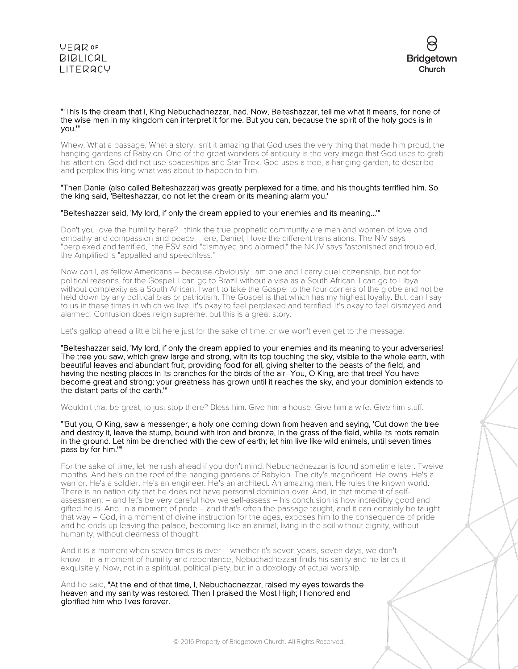



#### "'This is the dream that I, King Nebuchadnezzar, had. Now, Belteshazzar, tell me what it means, for none of the wise men in my kingdom can interpret it for me. But you can, because the spirit of the holy gods is in you.'"

Whew. What a passage. What a story. Isn't it amazing that God uses the very thing that made him proud, the hanging gardens of Babylon. One of the great wonders of antiquity is the very image that God uses to grab his attention. God did not use spaceships and Star Trek. God uses a tree, a hanging garden, to describe and perplex this king what was about to happen to him.

#### "Then Daniel (also called Belteshazzar) was greatly perplexed for a time, and his thoughts terrified him. So the king said, 'Belteshazzar, do not let the dream or its meaning alarm you.'

### "Belteshazzar said, 'My lord, if only the dream applied to your enemies and its meaning...'"

Don't you love the humility here? I think the true prophetic community are men and women of love and empathy and compassion and peace. Here, Daniel, I love the different translations. The NIV says "perplexed and terrified," the ESV said "dismayed and alarmed," the NKJV says "astonished and troubled," the Amplified is "appalled and speechless."

Now can I, as fellow Americans – because obviously I am one and I carry duel citizenship, but not for political reasons, for the Gospel. I can go to Brazil without a visa as a South African. I can go to Libya without complexity as a South African. I want to take the Gospel to the four corners of the globe and not be held down by any political bias or patriotism. The Gospel is that which has my highest loyalty. But, can I say to us in these times in which we live, it's okay to feel perplexed and terrified. It's okay to feel dismayed and alarmed. Confusion does reign supreme, but this is a great story.

Let's gallop ahead a little bit here just for the sake of time, or we won't even get to the message.

"Belteshazzar said, 'My lord, if only the dream applied to your enemies and its meaning to your adversaries! The tree you saw, which grew large and strong, with its top touching the sky, visible to the whole earth, with beautiful leaves and abundant fruit, providing food for all, giving shelter to the beasts of the field, and having the nesting places in its branches for the birds of the air–You, O King, are that tree! You have become great and strong; your greatness has grown until it reaches the sky, and your dominion extends to the distant parts of the earth.'"

#### Wouldn't that be great, to just stop there? Bless him. Give him a house. Give him a wife. Give him stuff.

"'But you, O King, saw a messenger, a holy one coming down from heaven and saying, 'Cut down the tree and destroy it, leave the stump, bound with iron and bronze, in the grass of the field, while its roots remain in the ground. Let him be drenched with the dew of earth; let him live like wild animals, until seven times pass by for him.''"

For the sake of time, let me rush ahead if you don't mind. Nebuchadnezzar is found sometime later. Twelve months. And he's on the roof of the hanging gardens of Babylon. The city's magnificent. He owns. He's a warrior. He's a soldier. He's an engineer. He's an architect. An amazing man. He rules the known world. There is no nation city that he does not have personal dominion over. And, in that moment of selfassessment – and let's be very careful how we self-assess – his conclusion is how incredibly good and gifted he is. And, in a moment of pride – and that's often the passage taught, and it can certainly be taught that way – God, in a moment of divine instruction for the ages, exposes him to the consequence of pride and he ends up leaving the palace, becoming like an animal, living in the soil without dignity, without humanity, without clearness of thought.

And it is a moment when seven times is over – whether it's seven years, seven days, we don't know – in a moment of humility and repentance, Nebuchadnezzar finds his sanity and he lands it exquisitely. Now, not in a spiritual, political piety, but in a doxology of actual worship.

And he said, "At the end of that time, I, Nebuchadnezzar, raised my eyes towards the heaven and my sanity was restored. Then I praised the Most High; I honored and glorified him who lives forever.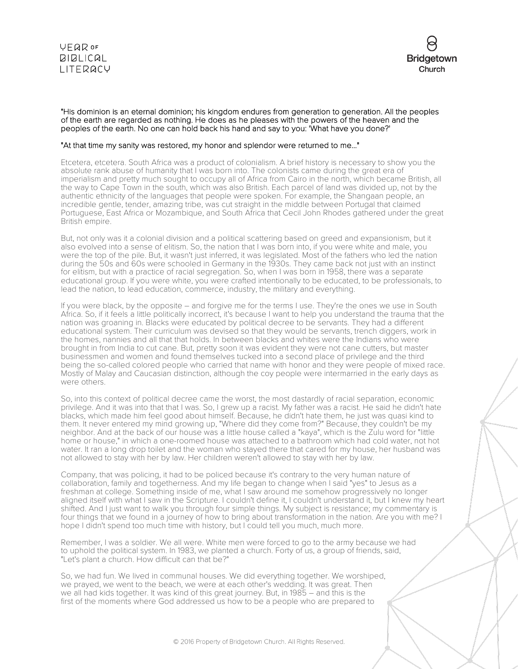



#### "His dominion is an eternal dominion; his kingdom endures from generation to generation. All the peoples of the earth are regarded as nothing. He does as he pleases with the powers of the heaven and the peoples of the earth. No one can hold back his hand and say to you: 'What have you done?'

## "At that time my sanity was restored, my honor and splendor were returned to me..."

Etcetera, etcetera. South Africa was a product of colonialism. A brief history is necessary to show you the absolute rank abuse of humanity that I was born into. The colonists came during the great era of imperialism and pretty much sought to occupy all of Africa from Cairo in the north, which became British, all the way to Cape Town in the south, which was also British. Each parcel of land was divided up, not by the authentic ethnicity of the languages that people were spoken. For example, the Shangaan people, an incredible gentle, tender, amazing tribe, was cut straight in the middle between Portugal that claimed Portuguese, East Africa or Mozambique, and South Africa that Cecil John Rhodes gathered under the great British empire.

But, not only was it a colonial division and a political scattering based on greed and expansionism, but it also evolved into a sense of elitism. So, the nation that I was born into, if you were white and male, you were the top of the pile. But, it wasn't just inferred, it was legislated. Most of the fathers who led the nation during the 50s and 60s were schooled in Germany in the 1930s. They came back not just with an instinct for elitism, but with a practice of racial segregation. So, when I was born in 1958, there was a separate educational group. If you were white, you were crafted intentionally to be educated, to be professionals, to lead the nation, to lead education, commerce, industry, the military and everything.

If you were black, by the opposite – and forgive me for the terms I use. They're the ones we use in South Africa. So, if it feels a little politically incorrect, it's because I want to help you understand the trauma that the nation was groaning in. Blacks were educated by political decree to be servants. They had a different educational system. Their curriculum was devised so that they would be servants, trench diggers, work in the homes, nannies and all that that holds. In between blacks and whites were the Indians who were brought in from India to cut cane. But, pretty soon it was evident they were not cane cutters, but master businessmen and women and found themselves tucked into a second place of privilege and the third being the so-called colored people who carried that name with honor and they were people of mixed race. Mostly of Malay and Caucasian distinction, although the coy people were intermarried in the early days as were others.

So, into this context of political decree came the worst, the most dastardly of racial separation, economic privilege. And it was into that that I was. So, I grew up a racist. My father was a racist. He said he didn't hate blacks, which made him feel good about himself. Because, he didn't hate them, he just was quasi kind to them. It never entered my mind growing up, "Where did they come from?" Because, they couldn't be my neighbor. And at the back of our house was a little house called a "kaya", which is the Zulu word for "little home or house," in which a one-roomed house was attached to a bathroom which had cold water, not hot water. It ran a long drop toilet and the woman who stayed there that cared for my house, her husband was not allowed to stay with her by law. Her children weren't allowed to stay with her by law.

Company, that was policing, it had to be policed because it's contrary to the very human nature of collaboration, family and togetherness. And my life began to change when I said "yes" to Jesus as a freshman at college. Something inside of me, what I saw around me somehow progressively no longer aligned itself with what I saw in the Scripture. I couldn't define it, I couldn't understand it, but I knew my heart shifted. And I just want to walk you through four simple things. My subject is resistance; my commentary is four things that we found in a journey of how to bring about transformation in the nation. Are you with me? I hope I didn't spend too much time with history, but I could tell you much, much more.

Remember, I was a soldier. We all were. White men were forced to go to the army because we had to uphold the political system. In 1983, we planted a church. Forty of us, a group of friends, said, "Let's plant a church. How difficult can that be?"

So, we had fun. We lived in communal houses. We did everything together. We worshiped, we prayed, we went to the beach, we were at each other's wedding. It was great. Then we all had kids together. It was kind of this great journey. But, in 1985 – and this is the first of the moments where God addressed us how to be a people who are prepared to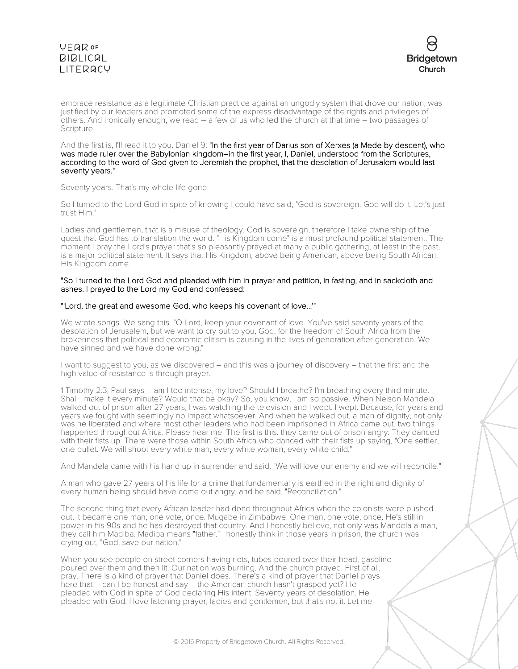



embrace resistance as a legitimate Christian practice against an ungodly system that drove our nation, was justified by our leaders and promoted some of the express disadvantage of the rights and privileges of others. And ironically enough, we read – a few of us who led the church at that time – two passages of Scripture.

And the first is, I'll read it to you, Daniel 9: "In the first year of Darius son of Xerxes (a Mede by descent), who was made ruler over the Babylonian kingdom–in the first year, I, Daniel, understood from the Scriptures, according to the word of God given to Jeremiah the prophet, that the desolation of Jerusalem would last seventy years."

Seventy years. That's my whole life gone.

So I turned to the Lord God in spite of knowing I could have said, "God is sovereign. God will do it. Let's just trust Him."

Ladies and gentlemen, that is a misuse of theology. God is sovereign, therefore I take ownership of the quest that God has to translation the world. "His Kingdom come" is a most profound political statement. The moment I pray the Lord's prayer that's so pleasantly prayed at many a public gathering, at least in the past, is a major political statement. It says that His Kingdom, above being American, above being South African, His Kingdom come.

#### "So I turned to the Lord God and pleaded with him in prayer and petition, in fasting, and in sackcloth and ashes. I prayed to the Lord my God and confessed:

## "'Lord, the great and awesome God, who keeps his covenant of love...'"

We wrote songs. We sang this. "O Lord, keep your covenant of love. You've said seventy years of the desolation of Jerusalem, but we want to cry out to you, God, for the freedom of South Africa from the brokenness that political and economic elitism is causing in the lives of generation after generation. We have sinned and we have done wrong."

I want to suggest to you, as we discovered – and this was a journey of discovery – that the first and the high value of resistance is through prayer.

1 Timothy 2:3, Paul says – am I too intense, my love? Should I breathe? I'm breathing every third minute. Shall I make it every minute? Would that be okay? So, you know, I am so passive. When Nelson Mandela walked out of prison after 27 years, I was watching the television and I wept. I wept. Because, for years and years we fought with seemingly no impact whatsoever. And when he walked out, a man of dignity, not only was he liberated and where most other leaders who had been imprisoned in Africa came out, two things happened throughout Africa. Please hear me. The first is this: they came out of prison angry. They danced with their fists up. There were those within South Africa who danced with their fists up saying, "One settler, one bullet. We will shoot every white man, every white woman, every white child."

And Mandela came with his hand up in surrender and said, "We will love our enemy and we will reconcile."

A man who gave 27 years of his life for a crime that fundamentally is earthed in the right and dignity of every human being should have come out angry, and he said, "Reconciliation."

The second thing that every African leader had done throughout Africa when the colonists were pushed out, it became one man, one vote, once. Mugabe in Zimbabwe. One man, one vote, once. He's still in power in his 90s and he has destroyed that country. And I honestly believe, not only was Mandela a man, they call him Madiba. Madiba means "father." I honestly think in those years in prison, the church was crying out, "God, save our nation."

When you see people on street corners having riots, tubes poured over their head, gasoline poured over them and then lit. Our nation was burning. And the church prayed. First of all, pray. There is a kind of prayer that Daniel does. There's a kind of prayer that Daniel prays here that – can I be honest and say – the American church hasn't grasped yet? He pleaded with God in spite of God declaring His intent. Seventy years of desolation. He pleaded with God. I love listening-prayer, ladies and gentlemen, but that's not it. Let me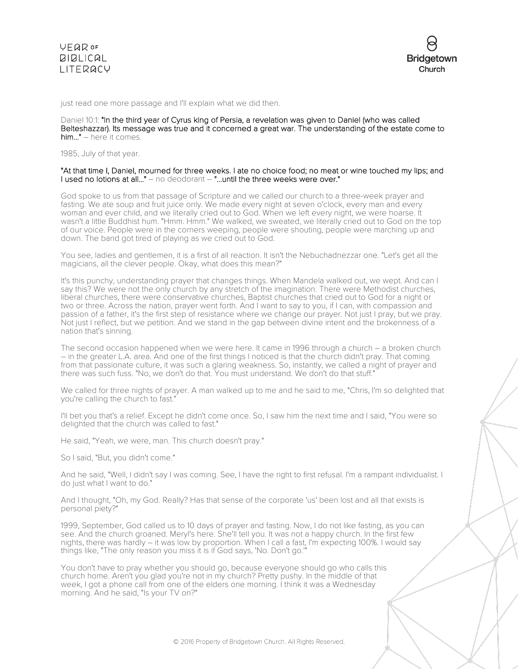just read one more passage and I'll explain what we did then.

#### Daniel 10:1: "In the third year of Cyrus king of Persia, a revelation was given to Daniel (who was called Belteshazzar). Its message was true and it concerned a great war. The understanding of the estate come to him..." – here it comes.

1985, July of that year.

#### "At that time I, Daniel, mourned for three weeks. I ate no choice food; no meat or wine touched my lips; and I used no lotions at all..." - no deodorant - "...until the three weeks were over."

God spoke to us from that passage of Scripture and we called our church to a three-week prayer and fasting. We ate soup and fruit juice only. We made every night at seven o'clock, every man and every woman and ever child, and we literally cried out to God. When we left every night, we were hoarse. It wasn't a little Buddhist hum. "Hmm. Hmm." We walked, we sweated, we literally cried out to God on the top of our voice. People were in the corners weeping, people were shouting, people were marching up and down. The band got tired of playing as we cried out to God.

You see, ladies and gentlemen, it is a first of all reaction. It isn't the Nebuchadnezzar one. "Let's get all the magicians, all the clever people. Okay, what does this mean?"

It's this punchy, understanding prayer that changes things. When Mandela walked out, we wept. And can I say this? We were not the only church by any stretch of the imagination. There were Methodist churches, liberal churches, there were conservative churches, Baptist churches that cried out to God for a night or two or three. Across the nation, prayer went forth. And I want to say to you, if I can, with compassion and passion of a father, it's the first step of resistance where we change our prayer. Not just I pray, but we pray. Not just I reflect, but we petition. And we stand in the gap between divine intent and the brokenness of a nation that's sinning.

The second occasion happened when we were here. It came in 1996 through a church – a broken church – in the greater L.A. area. And one of the first things I noticed is that the church didn't pray. That coming from that passionate culture, it was such a glaring weakness. So, instantly, we called a night of prayer and there was such fuss. "No, we don't do that. You must understand. We don't do that stuff."

We called for three nights of prayer. A man walked up to me and he said to me, "Chris, I'm so delighted that you're calling the church to fast."

I'll bet you that's a relief. Except he didn't come once. So, I saw him the next time and I said, "You were so delighted that the church was called to fast."

He said, "Yeah, we were, man. This church doesn't pray."

So I said, "But, you didn't come."

And he said, "Well, I didn't say I was coming. See, I have the right to first refusal. I'm a rampant individualist. I do just what I want to do."

And I thought, "Oh, my God. Really? Has that sense of the corporate 'us' been lost and all that exists is personal piety?"

1999, September, God called us to 10 days of prayer and fasting. Now, I do not like fasting, as you can see. And the church groaned. Meryl's here. She'll tell you. It was not a happy church. In the first few nights, there was hardly – it was low by proportion. When I call a fast, I'm expecting 100%. I would say things like, "The only reason you miss it is if God says, 'No. Don't go.'"

You don't have to pray whether you should go, because everyone should go who calls this church home. Aren't you glad you're not in my church? Pretty pushy. In the middle of that week, I got a phone call from one of the elders one morning. I think it was a Wednesday morning. And he said, "Is your TV on?"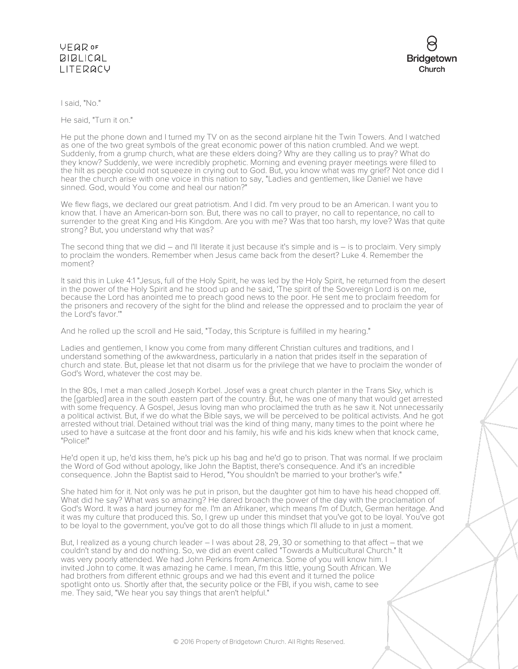## VEQROF **BIBLICAL** LITERACY



I said, "No."

He said, "Turn it on."

He put the phone down and I turned my TV on as the second airplane hit the Twin Towers. And I watched as one of the two great symbols of the great economic power of this nation crumbled. And we wept. Suddenly, from a grump church, what are these elders doing? Why are they calling us to pray? What do they know? Suddenly, we were incredibly prophetic. Morning and evening prayer meetings were filled to the hilt as people could not squeeze in crying out to God. But, you know what was my grief? Not once did I hear the church arise with one voice in this nation to say, "Ladies and gentlemen, like Daniel we have sinned. God, would You come and heal our nation?"

We flew flags, we declared our great patriotism. And I did. I'm very proud to be an American. I want you to know that. I have an American-born son. But, there was no call to prayer, no call to repentance, no call to surrender to the great King and His Kingdom. Are you with me? Was that too harsh, my love? Was that quite strong? But, you understand why that was?

The second thing that we did – and I'll literate it just because it's simple and is – is to proclaim. Very simply to proclaim the wonders. Remember when Jesus came back from the desert? Luke 4. Remember the moment?

It said this in Luke 4:1 "Jesus, full of the Holy Spirit, he was led by the Holy Spirit, he returned from the desert in the power of the Holy Spirit and he stood up and he said, 'The spirit of the Sovereign Lord is on me, because the Lord has anointed me to preach good news to the poor. He sent me to proclaim freedom for the prisoners and recovery of the sight for the blind and release the oppressed and to proclaim the year of the Lord's favor.'"

And he rolled up the scroll and He said, "Today, this Scripture is fulfilled in my hearing."

Ladies and gentlemen, I know you come from many different Christian cultures and traditions, and I understand something of the awkwardness, particularly in a nation that prides itself in the separation of church and state. But, please let that not disarm us for the privilege that we have to proclaim the wonder of God's Word, whatever the cost may be.

In the 80s, I met a man called Joseph Korbel. Josef was a great church planter in the Trans Sky, which is the [garbled] area in the south eastern part of the country. But, he was one of many that would get arrested with some frequency. A Gospel, Jesus loving man who proclaimed the truth as he saw it. Not unnecessarily a political activist. But, if we do what the Bible says, we will be perceived to be political activists. And he got arrested without trial. Detained without trial was the kind of thing many, many times to the point where he used to have a suitcase at the front door and his family, his wife and his kids knew when that knock came, "Police!"

He'd open it up, he'd kiss them, he's pick up his bag and he'd go to prison. That was normal. If we proclaim the Word of God without apology, like John the Baptist, there's consequence. And it's an incredible consequence. John the Baptist said to Herod, "You shouldn't be married to your brother's wife."

She hated him for it. Not only was he put in prison, but the daughter got him to have his head chopped off. What did he say? What was so amazing? He dared broach the power of the day with the proclamation of God's Word. It was a hard journey for me. I'm an Afrikaner, which means I'm of Dutch, German heritage. And it was my culture that produced this. So, I grew up under this mindset that you've got to be loyal. You've got to be loyal to the government, you've got to do all those things which I'll allude to in just a moment.

But, I realized as a young church leader – I was about 28, 29, 30 or something to that affect – that we couldn't stand by and do nothing. So, we did an event called "Towards a Multicultural Church." It was very poorly attended. We had John Perkins from America. Some of you will know him. I invited John to come. It was amazing he came. I mean, I'm this little, young South African. We had brothers from different ethnic groups and we had this event and it turned the police spotlight onto us. Shortly after that, the security police or the FBI, if you wish, came to see me. They said, "We hear you say things that aren't helpful."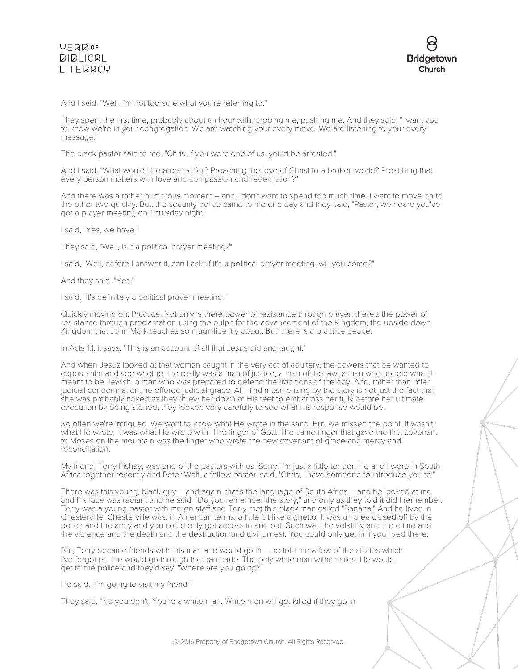

And I said, "Well, I'm not too sure what you're referring to."

They spent the first time, probably about an hour with, probing me; pushing me. And they said, "I want you to know we're in your congregation. We are watching your every move. We are listening to your every message."

The black pastor said to me, "Chris, if you were one of us, you'd be arrested."

And I said, "What would I be arrested for? Preaching the love of Christ to a broken world? Preaching that every person matters with love and compassion and redemption?"

And there was a rather humorous moment – and I don't want to spend too much time. I want to move on to the other two quickly. But, the security police came to me one day and they said, "Pastor, we heard you've got a prayer meeting on Thursday night."

I said, "Yes, we have."

They said, "Well, is it a political prayer meeting?"

I said, "Well, before I answer it, can I ask: if it's a political prayer meeting, will you come?"

And they said, "Yes."

I said, "It's definitely a political prayer meeting."

Quickly moving on. Practice. Not only is there power of resistance through prayer, there's the power of resistance through proclamation using the pulpit for the advancement of the Kingdom, the upside down Kingdom that John Mark teaches so magnificently about. But, there is a practice peace.

In Acts 1:1, it says, "This is an account of all that Jesus did and taught."

And when Jesus looked at that woman caught in the very act of adultery, the powers that be wanted to expose him and see whether He really was a man of justice; a man of the law; a man who upheld what it meant to be Jewish; a man who was prepared to defend the traditions of the day. And, rather than offer judicial condemnation, he offered judicial grace. All I find mesmerizing by the story is not just the fact that she was probably naked as they threw her down at His feet to embarrass her fully before her ultimate execution by being stoned, they looked very carefully to see what His response would be.

So often we're intrigued. We want to know what He wrote in the sand. But, we missed the point. It wasn't what He wrote, it was what He wrote with. The finger of God. The same finger that gave the first covenant to Moses on the mountain was the finger who wrote the new covenant of grace and mercy and reconciliation.

My friend, Terry Fishay, was one of the pastors with us. Sorry, I'm just a little tender. He and I were in South Africa together recently and Peter Walt, a fellow pastor, said, "Chris, I have someone to introduce you to."

There was this young, black guy – and again, that's the language of South Africa – and he looked at me and his face was radiant and he said, "Do you remember the story," and only as they told it did I remember. Terry was a young pastor with me on staff and Terry met this black man called "Banana." And he lived in Chesterville. Chesterville was, in American terms, a little bit like a ghetto. It was an area closed off by the police and the army and you could only get access in and out. Such was the volatility and the crime and the violence and the death and the destruction and civil unrest. You could only get in if you lived there.

But, Terry became friends with this man and would go in – he told me a few of the stories which I've forgotten. He would go through the barricade. The only white man within miles. He would get to the police and they'd say, "Where are you going?"

He said, "I'm going to visit my friend."

They said, "No you don't. You're a white man. White men will get killed if they go in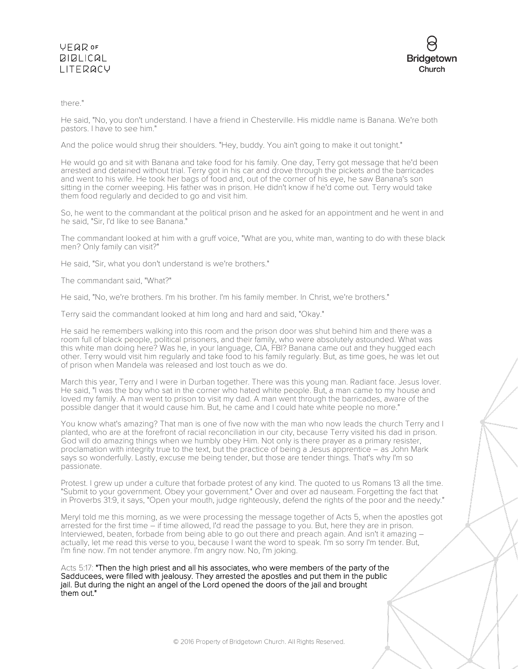## **VFQR OF BIBLICAL** LITERACY



## there."

He said, "No, you don't understand. I have a friend in Chesterville. His middle name is Banana. We're both pastors. I have to see him."

And the police would shrug their shoulders. "Hey, buddy. You ain't going to make it out tonight."

He would go and sit with Banana and take food for his family. One day, Terry got message that he'd been arrested and detained without trial. Terry got in his car and drove through the pickets and the barricades and went to his wife. He took her bags of food and, out of the corner of his eye, he saw Banana's son sitting in the corner weeping. His father was in prison. He didn't know if he'd come out. Terry would take them food regularly and decided to go and visit him.

So, he went to the commandant at the political prison and he asked for an appointment and he went in and he said, "Sir, I'd like to see Banana."

The commandant looked at him with a gruff voice, "What are you, white man, wanting to do with these black men? Only family can visit?"

He said, "Sir, what you don't understand is we're brothers."

The commandant said, "What?"

He said, "No, we're brothers. I'm his brother. I'm his family member. In Christ, we're brothers."

Terry said the commandant looked at him long and hard and said, "Okay."

He said he remembers walking into this room and the prison door was shut behind him and there was a room full of black people, political prisoners, and their family, who were absolutely astounded. What was this white man doing here? Was he, in your language, CIA, FBI? Banana came out and they hugged each other. Terry would visit him regularly and take food to his family regularly. But, as time goes, he was let out of prison when Mandela was released and lost touch as we do.

March this year, Terry and I were in Durban together. There was this young man. Radiant face. Jesus lover. He said, "I was the boy who sat in the corner who hated white people. But, a man came to my house and loved my family. A man went to prison to visit my dad. A man went through the barricades, aware of the possible danger that it would cause him. But, he came and I could hate white people no more."

You know what's amazing? That man is one of five now with the man who now leads the church Terry and I planted, who are at the forefront of racial reconciliation in our city, because Terry visited his dad in prison. God will do amazing things when we humbly obey Him. Not only is there prayer as a primary resister, proclamation with integrity true to the text, but the practice of being a Jesus apprentice – as John Mark says so wonderfully. Lastly, excuse me being tender, but those are tender things. That's why I'm so passionate.

Protest. I grew up under a culture that forbade protest of any kind. The quoted to us Romans 13 all the time. "Submit to your government. Obey your government." Over and over ad nauseam. Forgetting the fact that in Proverbs 31:9, it says, "Open your mouth, judge righteously, defend the rights of the poor and the needy."

Meryl told me this morning, as we were processing the message together of Acts 5, when the apostles got arrested for the first time – if time allowed, I'd read the passage to you. But, here they are in prison. Interviewed, beaten, forbade from being able to go out there and preach again. And isn't it amazing – actually, let me read this verse to you, because I want the word to speak. I'm so sorry I'm tender. But, I'm fine now. I'm not tender anymore. I'm angry now. No, I'm joking.

Acts 5:17: "Then the high priest and all his associates, who were members of the party of the Sadducees, were filled with jealousy. They arrested the apostles and put them in the public jail. But during the night an angel of the Lord opened the doors of the jail and brought them out."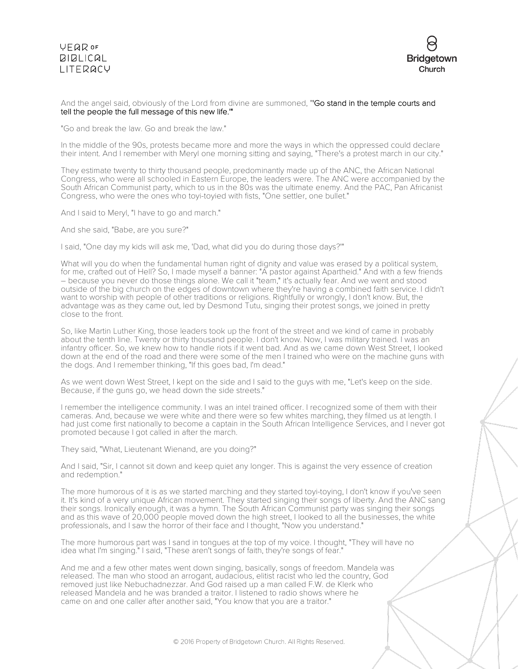## **VFQR OF BIBLICAL** LITERACY



## And the angel said, obviously of the Lord from divine are summoned, "Go stand in the temple courts and tell the people the full message of this new life.'"

"Go and break the law. Go and break the law."

In the middle of the 90s, protests became more and more the ways in which the oppressed could declare their intent. And I remember with Meryl one morning sitting and saying, "There's a protest march in our city."

They estimate twenty to thirty thousand people, predominantly made up of the ANC, the African National Congress, who were all schooled in Eastern Europe, the leaders were. The ANC were accompanied by the South African Communist party, which to us in the 80s was the ultimate enemy. And the PAC, Pan Africanist Congress, who were the ones who toyi-toyied with fists, "One settler, one bullet."

And I said to Meryl, "I have to go and march."

And she said, "Babe, are you sure?"

I said, "One day my kids will ask me, 'Dad, what did you do during those days?'"

What will you do when the fundamental human right of dignity and value was erased by a political system, for me, crafted out of Hell? So, I made myself a banner: "A pastor against Apartheid." And with a few friends – because you never do those things alone. We call it "team," it's actually fear. And we went and stood outside of the big church on the edges of downtown where they're having a combined faith service. I didn't want to worship with people of other traditions or religions. Rightfully or wrongly, I don't know. But, the advantage was as they came out, led by Desmond Tutu, singing their protest songs, we joined in pretty close to the front.

So, like Martin Luther King, those leaders took up the front of the street and we kind of came in probably about the tenth line. Twenty or thirty thousand people. I don't know. Now, I was military trained. I was an infantry officer. So, we knew how to handle riots if it went bad. And as we came down West Street, I looked down at the end of the road and there were some of the men I trained who were on the machine guns with the dogs. And I remember thinking, "If this goes bad, I'm dead."

As we went down West Street, I kept on the side and I said to the guys with me, "Let's keep on the side. Because, if the guns go, we head down the side streets."

I remember the intelligence community. I was an intel trained officer. I recognized some of them with their cameras. And, because we were white and there were so few whites marching, they filmed us at length. I had just come first nationally to become a captain in the South African Intelligence Services, and I never got promoted because I got called in after the march.

They said, "What, Lieutenant Wienand, are you doing?"

And I said, "Sir, I cannot sit down and keep quiet any longer. This is against the very essence of creation and redemption."

The more humorous of it is as we started marching and they started toyi-toying, I don't know if you've seen it. It's kind of a very unique African movement. They started singing their songs of liberty. And the ANC sang their songs. Ironically enough, it was a hymn. The South African Communist party was singing their songs and as this wave of 20,000 people moved down the high street, I looked to all the businesses, the white professionals, and I saw the horror of their face and I thought, "Now you understand."

The more humorous part was I sand in tongues at the top of my voice. I thought, "They will have no idea what I'm singing." I said, "These aren't songs of faith, they're songs of fear."

And me and a few other mates went down singing, basically, songs of freedom. Mandela was released. The man who stood an arrogant, audacious, elitist racist who led the country, God removed just like Nebuchadnezzar. And God raised up a man called F.W. de Klerk who released Mandela and he was branded a traitor. I listened to radio shows where he came on and one caller after another said, "You know that you are a traitor."